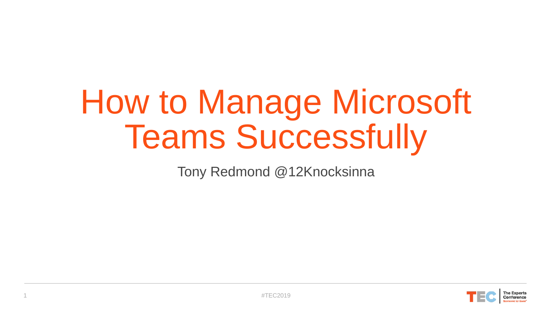# How to Manage Microsoft Teams Successfully

Tony Redmond @12Knocksinna

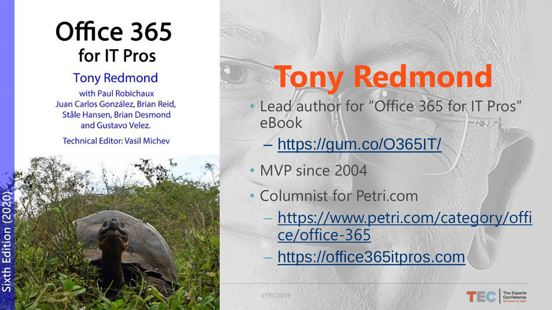## Office 365 for IT Pros

#### **Tony Redmond**

with Paul Robichaux Juan Carlos González, Brian Reid, Ståle Hansen, Brian Desmond and Gustavo Velez. **Technical Editor: Vasil Michev** 

Edition Sixth **2 #TEC2019** #TEC2019

### **Tony Redmond** • Lead author for "Office 365 for IT Pros" eBook

- <https://gum.co/O365IT/>
- MVP since 2004
- Columnist for Petri.com
	- [https://www.petri.com/category/offi](https://www.petri.com/category/office/office-365) ce/office -365
	- [https://office365itpros.com](https://office365foritpros.com/)

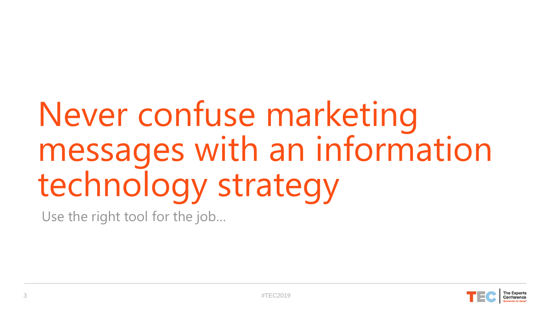# Never confuse marketing messages with an information technology strategy

Use the right tool for the job…

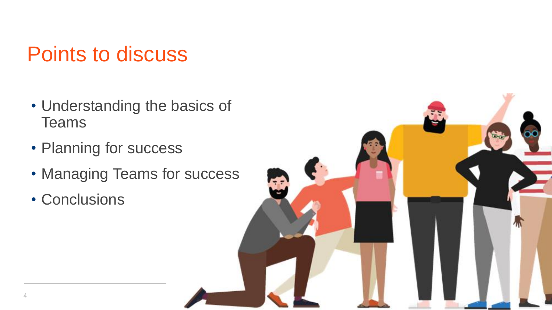### Points to discuss

- Understanding the basics of **Teams**
- Planning for success
- Managing Teams for success
- Conclusions

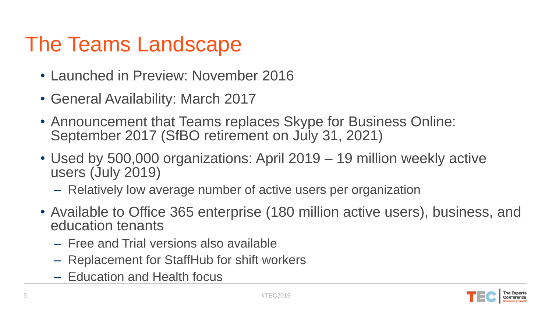### The Teams Landscape

- Launched in Preview: November 2016
- General Availability: March 2017
- Announcement that Teams replaces Skype for Business Online: September 2017 (SfBO retirement on July 31, 2021)
- Used by 500,000 organizations: April 2019 19 million weekly active users (July 2019)
	- Relatively low average number of active users per organization
- Available to Office 365 enterprise (180 million active users), business, and education tenants
	- Free and Trial versions also available
	- Replacement for StaffHub for shift workers
	- Education and Health focus

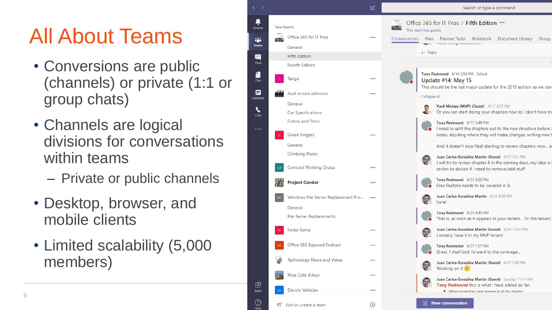## All About Teams

- Conversions are public (channels) or private (1:1 or group chats)
- Channels are logical divisions for conversations within teams
	- Private or public channels
- Desktop, browser, and mobile clients
- Limited scalability (5,000 members)

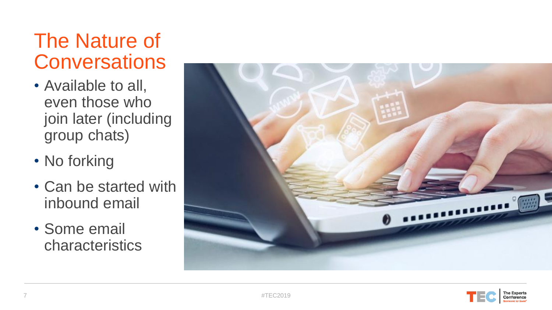### The Nature of **Conversations**

- Available to all, even those who join later (including group chats)
- No forking
- Can be started with inbound email
- Some email characteristics



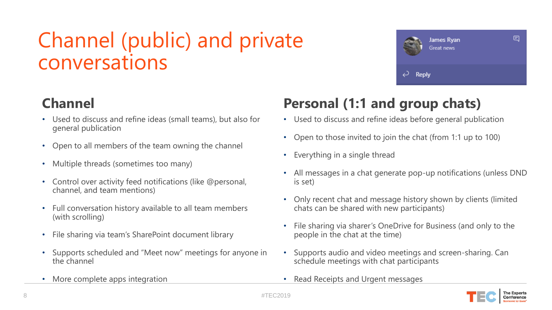### Channel (public) and private conversations

#### **Channel**

- Used to discuss and refine ideas (small teams), but also for general publication
- Open to all members of the team owning the channel
- Multiple threads (sometimes too many)
- Control over activity feed notifications (like @personal, channel, and team mentions)
- Full conversation history available to all team members (with scrolling)
- File sharing via team's SharePoint document library
- Supports scheduled and "Meet now" meetings for anyone in the channel
- More complete apps integration

#### **Personal (1:1 and group chats)**

• Used to discuss and refine ideas before general publication

↩

Reply

James Ryan Great news

- Open to those invited to join the chat (from 1:1 up to 100)
- Everything in a single thread
- All messages in a chat generate pop-up notifications (unless DND is set)
- Only recent chat and message history shown by clients (limited chats can be shared with new participants)
- File sharing via sharer's OneDrive for Business (and only to the people in the chat at the time)
- Supports audio and video meetings and screen-sharing. Can schedule meetings with chat participants
- Read Receipts and Urgent messages



Ξ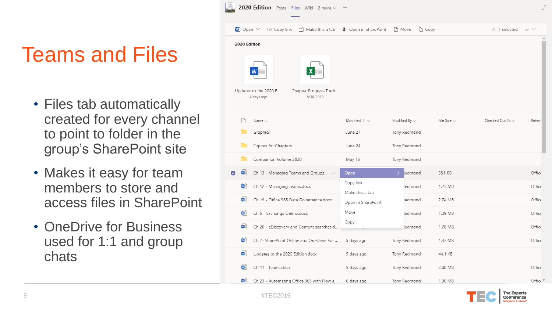### Teams and Files

- Files tab automatically created for every channel to point to folder in the group's SharePoint site
- Makes it easy for team members to store and access files in SharePoint
- OneDrive for Business used for 1:1 and group chats

|                                                                            | <b>2020 Edition</b> Posts Files Wiki 2 more $\vee$<br>$^{+}$ |                                           |                               |                            |                  |                       | $k^7$           |
|----------------------------------------------------------------------------|--------------------------------------------------------------|-------------------------------------------|-------------------------------|----------------------------|------------------|-----------------------|-----------------|
|                                                                            | $W =$ Open $\vee$                                            | Scopy link<br>m Make this a tab           | Open in SharePoint            | <b>Move</b><br><b>Copy</b> |                  | $\times$ 1 selected   | $\equiv$ $\vee$ |
| 2020 Edition                                                               |                                                              |                                           |                               |                            |                  |                       |                 |
| Updates to the 2020 E<br>Chapter Progress Track<br>6/30/2019<br>4 days ago |                                                              |                                           |                               |                            |                  |                       |                 |
|                                                                            |                                                              | Name $\vee$                               | Modified $\downarrow \; \vee$ | Modified By $\vee$         | File Size $\vee$ | Checked Out To $\vee$ | Retent          |
|                                                                            |                                                              | Graphics                                  | June 27                       | Tony Redmond               |                  |                       |                 |
|                                                                            |                                                              | Figures for Chapters                      | June 24                       | Tony Redmond               |                  |                       |                 |
|                                                                            |                                                              | Companion Volume 2020                     | May 15                        | Tony Redmond               |                  |                       |                 |
| Ø                                                                          | ₩                                                            | Ch 13 - Managing Teams and Groups         | Open                          | ledmond                    | 551 KB           |                       | Office          |
|                                                                            | ₩                                                            | Ch 12 - Managing Teams.docx               | Copy link<br>Make this a tab  | ledmond                    | 1.23 MB          |                       | Office          |
|                                                                            | ₩                                                            | Ch 19 - Office 365 Data Governance.docx   | Open in SharePoint            | <i>ledmond</i>             | 2.74 MB          |                       | Office          |
|                                                                            | ₩                                                            | Ch 5 - Exchange Online.docx               | Move                          | <i>ledmond</i>             | 1.29 MB          |                       | Office          |
|                                                                            | ₩                                                            | Ch 20 - eDiscovery and Content searches.d | Copy                          | ledmond                    | 1.78 MB          |                       | Office          |
|                                                                            | ₩                                                            | Ch 7- SharePoint Online and OneDrive For  | 5 days ago                    | Tony Redmond               | 1.37 MB          |                       | Office          |
|                                                                            | ₩                                                            | Updates to the 2020 Edition.docx          | 5 days ago                    | Tony Redmond               | 44.1 KB          |                       |                 |
|                                                                            | ₩                                                            | Ch 11 - Teams.docx                        | 5 days ago                    | Tony Redmond               | 2.48 MB          |                       | Office          |
|                                                                            | ₩                                                            | Ch 23 - Automating Office 365 with Flow a | 6 days ago                    | Tony Redmond               | 1.90 MB          |                       | Office ▼        |

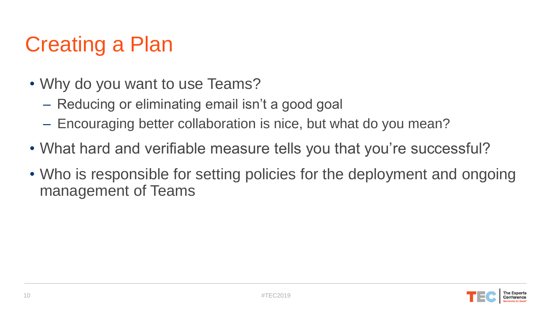### Creating a Plan

- Why do you want to use Teams?
	- Reducing or eliminating email isn't a good goal
	- Encouraging better collaboration is nice, but what do you mean?
- What hard and verifiable measure tells you that you're successful?
- Who is responsible for setting policies for the deployment and ongoing management of Teams

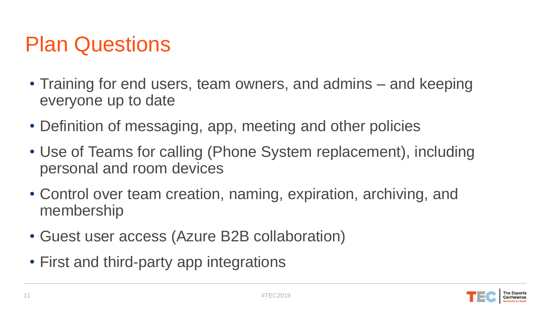### Plan Questions

- Training for end users, team owners, and admins and keeping everyone up to date
- Definition of messaging, app, meeting and other policies
- Use of Teams for calling (Phone System replacement), including personal and room devices
- Control over team creation, naming, expiration, archiving, and membership
- Guest user access (Azure B2B collaboration)
- First and third-party app integrations

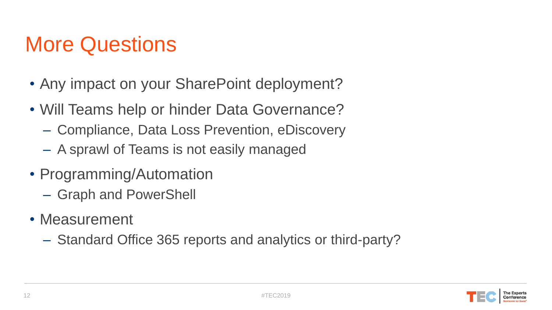### More Questions

- Any impact on your SharePoint deployment?
- Will Teams help or hinder Data Governance?
	- Compliance, Data Loss Prevention, eDiscovery
	- A sprawl of Teams is not easily managed
- Programming/Automation
	- Graph and PowerShell
- Measurement
	- Standard Office 365 reports and analytics or third-party?

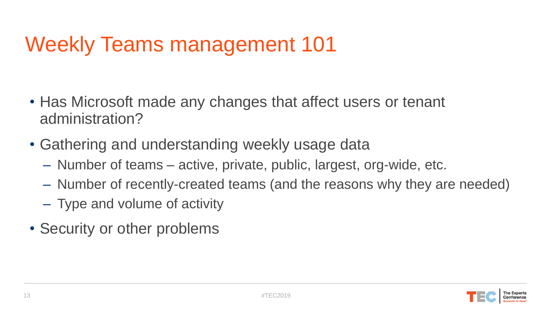### Weekly Teams management 101

- Has Microsoft made any changes that affect users or tenant administration?
- Gathering and understanding weekly usage data
	- Number of teams active, private, public, largest, org-wide, etc.
	- Number of recently-created teams (and the reasons why they are needed)
	- Type and volume of activity
- Security or other problems

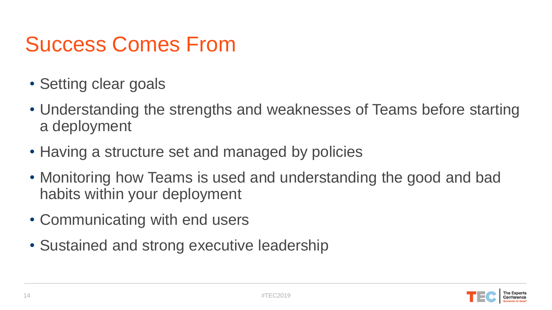### Success Comes From

- Setting clear goals
- Understanding the strengths and weaknesses of Teams before starting a deployment
- Having a structure set and managed by policies
- Monitoring how Teams is used and understanding the good and bad habits within your deployment
- Communicating with end users
- Sustained and strong executive leadership